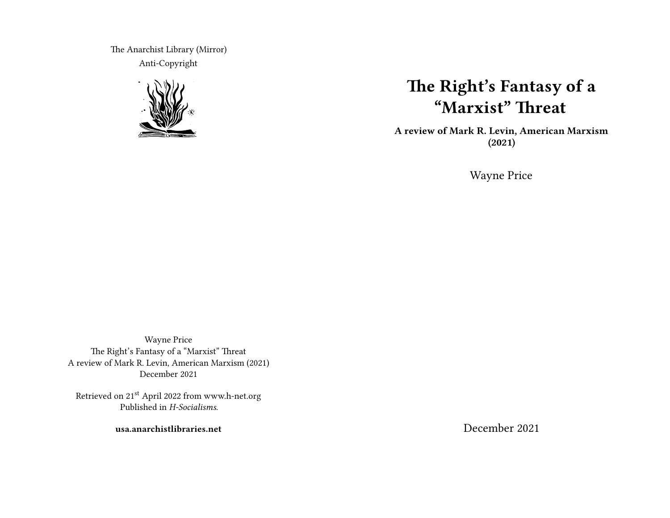The Anarchist Library (Mirror) Anti-Copyright



## **The Right's Fantasy of a "Marxist" Threat**

**A review of Mark R. Levin, American Marxism (2021)**

Wayne Price

Wayne Price The Right's Fantasy of a "Marxist" Threat A review of Mark R. Levin, American Marxism (2021) December 2021

Retrieved on 21st April 2022 from www.h-net.org Published in *H-Socialisms*.

**usa.anarchistlibraries.net**

December 2021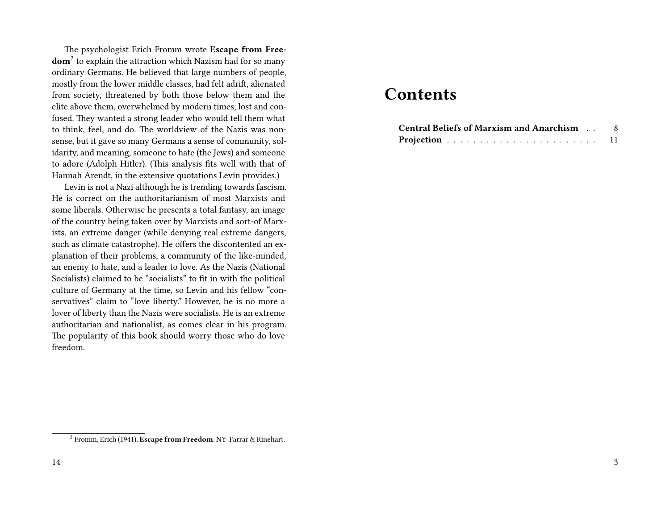The psychologist Erich Fromm wrote **Escape from Freedom**<sup>2</sup> to explain the attraction which Nazism had for so many ordinary Germans. He believed that large numbers of people, mostly from the lower middle classes, had felt adrift, alienated from society, threatened by both those below them and the elite above them, overwhelmed by modern times, lost and confused. They wanted a strong leader who would tell them what to think, feel, and do. The worldview of the Nazis was nonsense, but it gave so many Germans a sense of community, solidarity, and meaning, someone to hate (the Jews) and someone to adore (Adolph Hitler). (This analysis fits well with that of Hannah Arendt, in the extensive quotations Levin provides.)

Levin is not a Nazi although he is trending towards fascism. He is correct on the authoritarianism of most Marxists and some liberals. Otherwise he presents a total fantasy, an image of the country being taken over by Marxists and sort-of Marxists, an extreme danger (while denying real extreme dangers, such as climate catastrophe). He offers the discontented an explanation of their problems, a community of the like-minded, an enemy to hate, and a leader to love. As the Nazis (National Socialists) claimed to be "socialists" to fit in with the political culture of Germany at the time, so Levin and his fellow "conservatives" claim to "love liberty." However, he is no more a lover of liberty than the Nazis were socialists. He is an extreme authoritarian and nationalist, as comes clear in his program. The popularity of this book should worry those who do love freedom.

## **Contents**

| <b>Central Beliefs of Marxism and Anarchism </b> |  |
|--------------------------------------------------|--|
|                                                  |  |

<sup>2</sup> Fromm, Erich (1941). **Escape from Freedom**. NY: Farrar & Rinehart.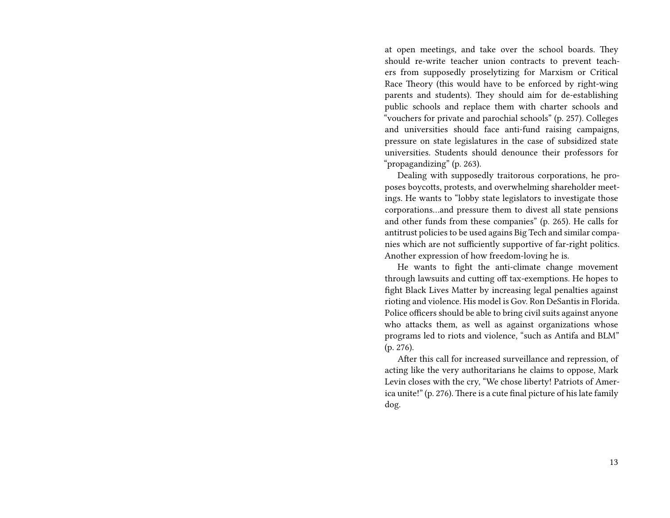at open meetings, and take over the school boards. They should re-write teacher union contracts to prevent teachers from supposedly proselytizing for Marxism or Critical Race Theory (this would have to be enforced by right-wing parents and students). They should aim for de-establishing public schools and replace them with charter schools and "vouchers for private and parochial schools" (p. 257). Colleges and universities should face anti-fund raising campaigns, pressure on state legislatures in the case of subsidized state universities. Students should denounce their professors for "propagandizing" (p. 263).

Dealing with supposedly traitorous corporations, he proposes boycotts, protests, and overwhelming shareholder meetings. He wants to "lobby state legislators to investigate those corporations…and pressure them to divest all state pensions and other funds from these companies" (p. 265). He calls for antitrust policies to be used agains Big Tech and similar companies which are not sufficiently supportive of far-right politics. Another expression of how freedom-loving he is.

He wants to fight the anti-climate change movement through lawsuits and cutting off tax-exemptions. He hopes to fight Black Lives Matter by increasing legal penalties against rioting and violence. His model is Gov. Ron DeSantis in Florida. Police officers should be able to bring civil suits against anyone who attacks them, as well as against organizations whose programs led to riots and violence, "such as Antifa and BLM" (p. 276).

After this call for increased surveillance and repression, of acting like the very authoritarians he claims to oppose, Mark Levin closes with the cry, "We chose liberty! Patriots of America unite!" (p. 276). There is a cute final picture of his late family dog.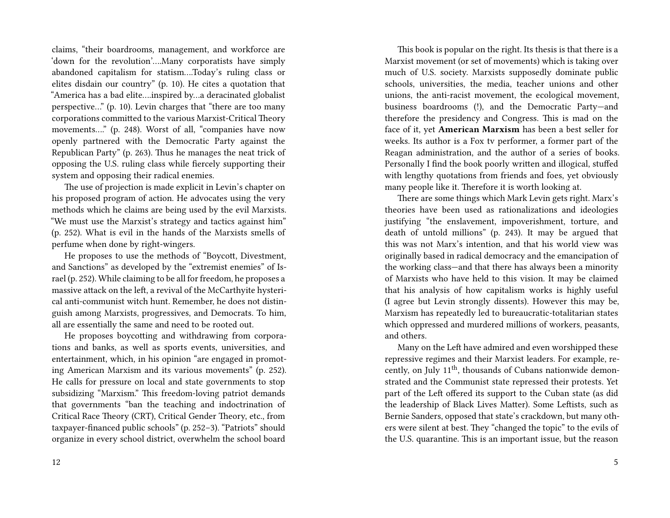claims, "their boardrooms, management, and workforce are 'down for the revolution'….Many corporatists have simply abandoned capitalism for statism….Today's ruling class or elites disdain our country" (p. 10). He cites a quotation that "America has a bad elite….inspired by…a deracinated globalist perspective…" (p. 10). Levin charges that "there are too many corporations committed to the various Marxist-Critical Theory movements…." (p. 248). Worst of all, "companies have now openly partnered with the Democratic Party against the Republican Party" (p. 263). Thus he manages the neat trick of opposing the U.S. ruling class while fiercely supporting their system and opposing their radical enemies.

The use of projection is made explicit in Levin's chapter on his proposed program of action. He advocates using the very methods which he claims are being used by the evil Marxists. "We must use the Marxist's strategy and tactics against him" (p. 252). What is evil in the hands of the Marxists smells of perfume when done by right-wingers.

He proposes to use the methods of "Boycott, Divestment, and Sanctions" as developed by the "extremist enemies" of Israel (p. 252). While claiming to be all for freedom, he proposes a massive attack on the left, a revival of the McCarthyite hysterical anti-communist witch hunt. Remember, he does not distinguish among Marxists, progressives, and Democrats. To him, all are essentially the same and need to be rooted out.

He proposes boycotting and withdrawing from corporations and banks, as well as sports events, universities, and entertainment, which, in his opinion "are engaged in promoting American Marxism and its various movements" (p. 252). He calls for pressure on local and state governments to stop subsidizing "Marxism." This freedom-loving patriot demands that governments "ban the teaching and indoctrination of Critical Race Theory (CRT), Critical Gender Theory, etc., from taxpayer-financed public schools" (p. 252–3). "Patriots" should organize in every school district, overwhelm the school board

This book is popular on the right. Its thesis is that there is a Marxist movement (or set of movements) which is taking over much of U.S. society. Marxists supposedly dominate public schools, universities, the media, teacher unions and other unions, the anti-racist movement, the ecological movement, business boardrooms (!), and the Democratic Party—and therefore the presidency and Congress. This is mad on the face of it, yet **American Marxism** has been a best seller for weeks. Its author is a Fox tv performer, a former part of the Reagan administration, and the author of a series of books. Personally I find the book poorly written and illogical, stuffed with lengthy quotations from friends and foes, yet obviously many people like it. Therefore it is worth looking at.

There are some things which Mark Levin gets right. Marx's theories have been used as rationalizations and ideologies justifying "the enslavement, impoverishment, torture, and death of untold millions" (p. 243). It may be argued that this was not Marx's intention, and that his world view was originally based in radical democracy and the emancipation of the working class—and that there has always been a minority of Marxists who have held to this vision. It may be claimed that his analysis of how capitalism works is highly useful (I agree but Levin strongly dissents). However this may be, Marxism has repeatedly led to bureaucratic-totalitarian states which oppressed and murdered millions of workers, peasants, and others.

Many on the Left have admired and even worshipped these repressive regimes and their Marxist leaders. For example, recently, on July 11<sup>th</sup>, thousands of Cubans nationwide demonstrated and the Communist state repressed their protests. Yet part of the Left offered its support to the Cuban state (as did the leadership of Black Lives Matter). Some Leftists, such as Bernie Sanders, opposed that state's crackdown, but many others were silent at best. They "changed the topic" to the evils of the U.S. quarantine. This is an important issue, but the reason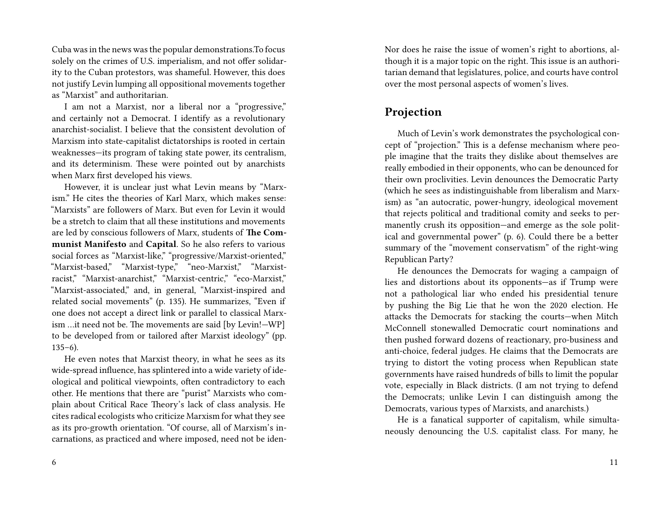Cuba was in the news was the popular demonstrations.To focus solely on the crimes of U.S. imperialism, and not offer solidarity to the Cuban protestors, was shameful. However, this does not justify Levin lumping all oppositional movements together as "Marxist" and authoritarian.

I am not a Marxist, nor a liberal nor a "progressive," and certainly not a Democrat. I identify as a revolutionary anarchist-socialist. I believe that the consistent devolution of Marxism into state-capitalist dictatorships is rooted in certain weaknesses—its program of taking state power, its centralism, and its determinism. These were pointed out by anarchists when Marx first developed his views.

However, it is unclear just what Levin means by "Marxism." He cites the theories of Karl Marx, which makes sense: "Marxists" are followers of Marx. But even for Levin it would be a stretch to claim that all these institutions and movements are led by conscious followers of Marx, students of **The Communist Manifesto** and **Capital**. So he also refers to various social forces as "Marxist-like," "progressive/Marxist-oriented," "Marxist-based," "Marxist-type," "neo-Marxist," "Marxistracist," "Marxist-anarchist," "Marxist-centric," "eco-Marxist," "Marxist-associated," and, in general, "Marxist-inspired and related social movements" (p. 135). He summarizes, "Even if one does not accept a direct link or parallel to classical Marxism …it need not be. The movements are said [by Levin!—WP] to be developed from or tailored after Marxist ideology" (pp.  $135-6$ ).

He even notes that Marxist theory, in what he sees as its wide-spread influence, has splintered into a wide variety of ideological and political viewpoints, often contradictory to each other. He mentions that there are "purist" Marxists who complain about Critical Race Theory's lack of class analysis. He cites radical ecologists who criticize Marxism for what they see as its pro-growth orientation. "Of course, all of Marxism's incarnations, as practiced and where imposed, need not be idenNor does he raise the issue of women's right to abortions, although it is a major topic on the right. This issue is an authoritarian demand that legislatures, police, and courts have control over the most personal aspects of women's lives.

## **Projection**

Much of Levin's work demonstrates the psychological concept of "projection." This is a defense mechanism where people imagine that the traits they dislike about themselves are really embodied in their opponents, who can be denounced for their own proclivities. Levin denounces the Democratic Party (which he sees as indistinguishable from liberalism and Marxism) as "an autocratic, power-hungry, ideological movement that rejects political and traditional comity and seeks to permanently crush its opposition—and emerge as the sole political and governmental power" (p. 6). Could there be a better summary of the "movement conservatism" of the right-wing Republican Party?

He denounces the Democrats for waging a campaign of lies and distortions about its opponents—as if Trump were not a pathological liar who ended his presidential tenure by pushing the Big Lie that he won the 2020 election. He attacks the Democrats for stacking the courts—when Mitch McConnell stonewalled Democratic court nominations and then pushed forward dozens of reactionary, pro-business and anti-choice, federal judges. He claims that the Democrats are trying to distort the voting process when Republican state governments have raised hundreds of bills to limit the popular vote, especially in Black districts. (I am not trying to defend the Democrats; unlike Levin I can distinguish among the Democrats, various types of Marxists, and anarchists.)

He is a fanatical supporter of capitalism, while simultaneously denouncing the U.S. capitalist class. For many, he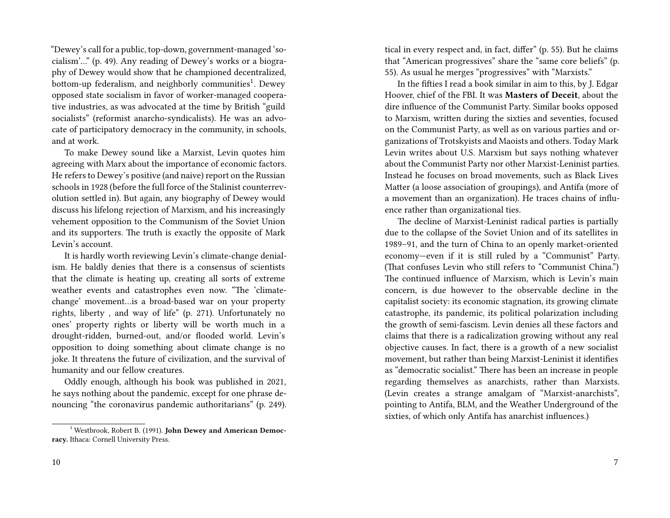"Dewey's call for a public, top-down, government-managed 'socialism'…" (p. 49). Any reading of Dewey's works or a biography of Dewey would show that he championed decentralized, bottom-up federalism, and neighborly communities<sup>1</sup>. Dewey opposed state socialism in favor of worker-managed cooperative industries, as was advocated at the time by British "guild socialists" (reformist anarcho-syndicalists). He was an advocate of participatory democracy in the community, in schools, and at work.

To make Dewey sound like a Marxist, Levin quotes him agreeing with Marx about the importance of economic factors. He refers to Dewey's positive (and naive) report on the Russian schools in 1928 (before the full force of the Stalinist counterrevolution settled in). But again, any biography of Dewey would discuss his lifelong rejection of Marxism, and his increasingly vehement opposition to the Communism of the Soviet Union and its supporters. The truth is exactly the opposite of Mark Levin's account.

It is hardly worth reviewing Levin's climate-change denialism. He baldly denies that there is a consensus of scientists that the climate is heating up, creating all sorts of extreme weather events and catastrophes even now. "The 'climatechange' movement…is a broad-based war on your property rights, liberty , and way of life" (p. 271). Unfortunately no ones' property rights or liberty will be worth much in a drought-ridden, burned-out, and/or flooded world. Levin's opposition to doing something about climate change is no joke. It threatens the future of civilization, and the survival of humanity and our fellow creatures.

Oddly enough, although his book was published in 2021, he says nothing about the pandemic, except for one phrase denouncing "the coronavirus pandemic authoritarians" (p. 249). tical in every respect and, in fact, differ" (p. 55). But he claims that "American progressives" share the "same core beliefs" (p. 55). As usual he merges "progressives" with "Marxists."

In the fifties I read a book similar in aim to this, by J. Edgar Hoover, chief of the FBI. It was **Masters of Deceit**, about the dire influence of the Communist Party. Similar books opposed to Marxism, written during the sixties and seventies, focused on the Communist Party, as well as on various parties and organizations of Trotskyists and Maoists and others. Today Mark Levin writes about U.S. Marxism but says nothing whatever about the Communist Party nor other Marxist-Leninist parties. Instead he focuses on broad movements, such as Black Lives Matter (a loose association of groupings), and Antifa (more of a movement than an organization). He traces chains of influence rather than organizational ties.

The decline of Marxist-Leninist radical parties is partially due to the collapse of the Soviet Union and of its satellites in 1989–91, and the turn of China to an openly market-oriented economy—even if it is still ruled by a "Communist" Party. (That confuses Levin who still refers to "Communist China.") The continued influence of Marxism, which is Levin's main concern, is due however to the observable decline in the capitalist society: its economic stagnation, its growing climate catastrophe, its pandemic, its political polarization including the growth of semi-fascism. Levin denies all these factors and claims that there is a radicalization growing without any real objective causes. In fact, there is a growth of a new socialist movement, but rather than being Marxist-Leninist it identifies as "democratic socialist." There has been an increase in people regarding themselves as anarchists, rather than Marxists. (Levin creates a strange amalgam of "Marxist-anarchists", pointing to Antifa, BLM, and the Weather Underground of the sixties, of which only Antifa has anarchist influences.)

<sup>&</sup>lt;sup>1</sup> Westbrook, Robert B. (1991). **John Dewey and American Democracy.** Ithaca: Cornell University Press.